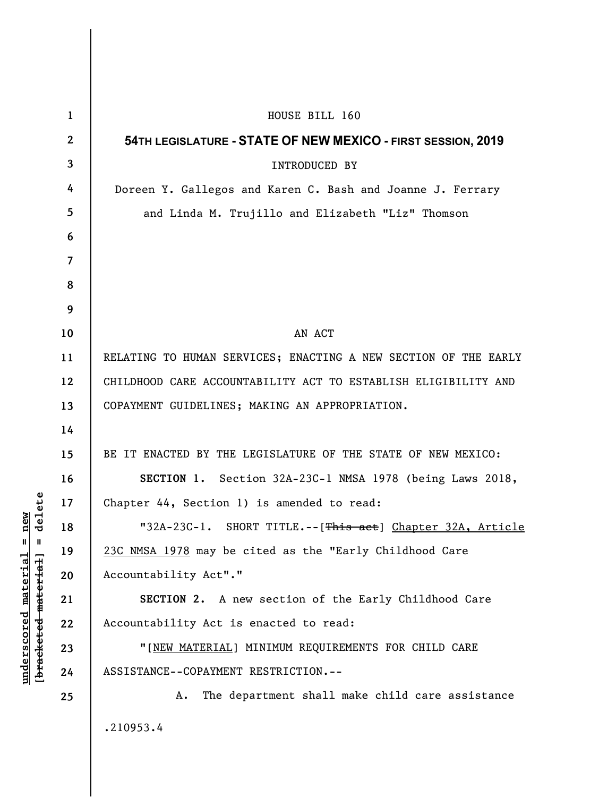| $\mathbf{1}$            | HOUSE BILL 160                                                  |
|-------------------------|-----------------------------------------------------------------|
| $\boldsymbol{2}$        | 54 TH LEGISLATURE - STATE OF NEW MEXICO - FIRST SESSION, 2019   |
| $\overline{\mathbf{3}}$ | INTRODUCED BY                                                   |
| 4                       | Doreen Y. Gallegos and Karen C. Bash and Joanne J. Ferrary      |
| 5                       | and Linda M. Trujillo and Elizabeth "Liz" Thomson               |
| 6                       |                                                                 |
| $\overline{7}$          |                                                                 |
| 8                       |                                                                 |
| 9                       |                                                                 |
| 10                      | AN ACT                                                          |
| 11                      | RELATING TO HUMAN SERVICES; ENACTING A NEW SECTION OF THE EARLY |
| 12                      | CHILDHOOD CARE ACCOUNTABILITY ACT TO ESTABLISH ELIGIBILITY AND  |
| 13                      | COPAYMENT GUIDELINES; MAKING AN APPROPRIATION.                  |
| 14                      |                                                                 |
| 15                      | BE IT ENACTED BY THE LEGISLATURE OF THE STATE OF NEW MEXICO:    |
| 16                      | SECTION 1. Section 32A-23C-1 NMSA 1978 (being Laws 2018,        |
| 17                      | Chapter 44, Section 1) is amended to read:                      |
| 18                      | "32A-23C-1. SHORT TITLE.--[This act] Chapter 32A, Article       |
| 19                      | 23C NMSA 1978 may be cited as the "Early Childhood Care         |
| 20                      | Accountability Act"."                                           |
| 21                      | SECTION 2. A new section of the Early Childhood Care            |
| 22                      | Accountability Act is enacted to read:                          |
| 23                      | "[NEW MATERIAL] MINIMUM REQUIREMENTS FOR CHILD CARE             |
| 24                      | ASSISTANCE--COPAYMENT RESTRICTION.--                            |
| 25                      | The department shall make child care assistance<br>Α.           |
|                         | .210953.4                                                       |

**underscored material = new [bracketed material] = delete**

 $[bracketeed-materiat] = delete$  $underscored material = new$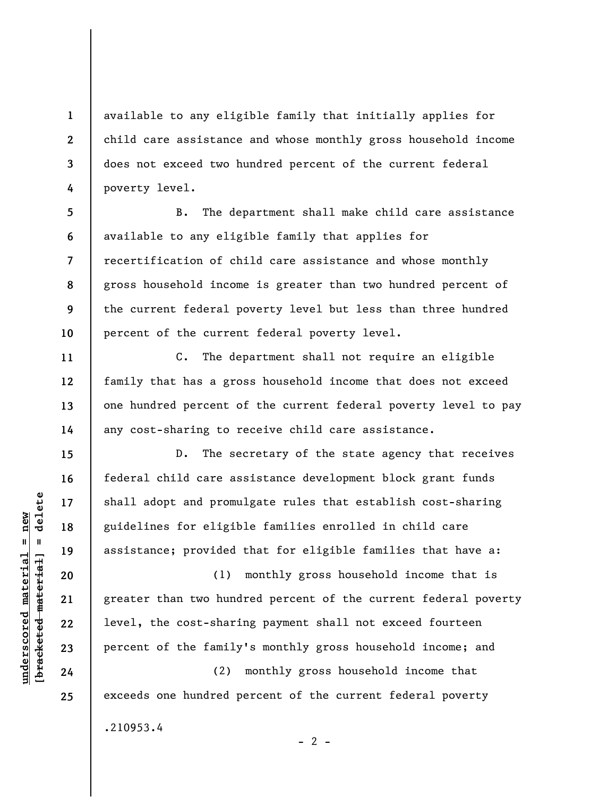available to any eligible family that initially applies for child care assistance and whose monthly gross household income does not exceed two hundred percent of the current federal poverty level.

**5 6 7 8 9 10**  B. The department shall make child care assistance available to any eligible family that applies for recertification of child care assistance and whose monthly gross household income is greater than two hundred percent of the current federal poverty level but less than three hundred percent of the current federal poverty level.

C. The department shall not require an eligible family that has a gross household income that does not exceed one hundred percent of the current federal poverty level to pay any cost-sharing to receive child care assistance.

D. The secretary of the state agency that receives federal child care assistance development block grant funds shall adopt and promulgate rules that establish cost-sharing guidelines for eligible families enrolled in child care assistance; provided that for eligible families that have a:

(1) monthly gross household income that is greater than two hundred percent of the current federal poverty level, the cost-sharing payment shall not exceed fourteen percent of the family's monthly gross household income; and

 $- 2 -$ 

(2) monthly gross household income that exceeds one hundred percent of the current federal poverty

.210953.4

 $\frac{1}{2}$  of  $\frac{1}{2}$  and  $\frac{1}{2}$  and  $\frac{1}{2}$  and  $\frac{1}{2}$  and  $\frac{1}{2}$  and  $\frac{1}{2}$  and  $\frac{1}{2}$  and  $\frac{1}{2}$  and  $\frac{1}{2}$  and  $\frac{1}{2}$  and  $\frac{1}{2}$  and  $\frac{1}{2}$  and  $\frac{1}{2}$  and  $\frac{1}{2}$  and  $\frac{1}{2}$  an **[bracketed material] = delete**  $underscored material = new$ **underscored material = new**

**1** 

**2** 

**3** 

**4** 

**11** 

**12** 

**13** 

**14** 

**15** 

**16** 

**17** 

**18** 

**19** 

**20** 

**21** 

**22** 

**23** 

**24** 

**25**